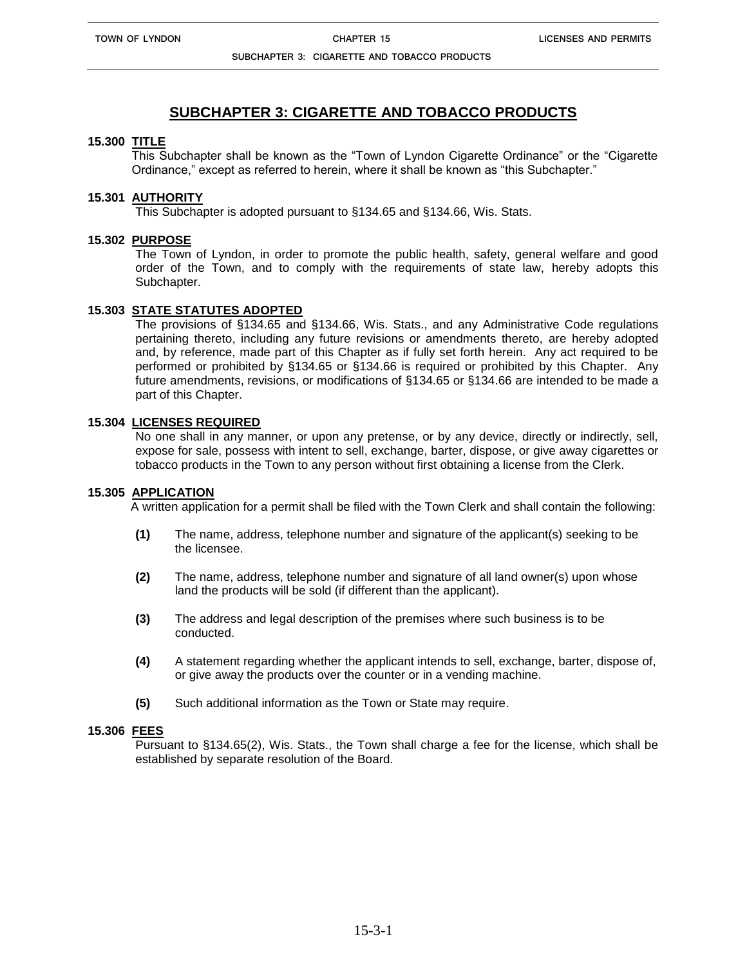**SUBCHAPTER 3: CIGARETTE AND TOBACCO PRODUCTS**

# **SUBCHAPTER 3: CIGARETTE AND TOBACCO PRODUCTS**

#### **15.300 TITLE**

This Subchapter shall be known as the "Town of Lyndon Cigarette Ordinance" or the "Cigarette Ordinance," except as referred to herein, where it shall be known as "this Subchapter."

# **15.301 AUTHORITY**

This Subchapter is adopted pursuant to §134.65 and §134.66, Wis. Stats.

## **15.302 PURPOSE**

The Town of Lyndon, in order to promote the public health, safety, general welfare and good order of the Town, and to comply with the requirements of state law, hereby adopts this Subchapter.

## **15.303 STATE STATUTES ADOPTED**

The provisions of §134.65 and §134.66, Wis. Stats., and any Administrative Code regulations pertaining thereto, including any future revisions or amendments thereto, are hereby adopted and, by reference, made part of this Chapter as if fully set forth herein. Any act required to be performed or prohibited by §134.65 or §134.66 is required or prohibited by this Chapter. Any future amendments, revisions, or modifications of §134.65 or §134.66 are intended to be made a part of this Chapter.

#### **15.304 LICENSES REQUIRED**

No one shall in any manner, or upon any pretense, or by any device, directly or indirectly, sell, expose for sale, possess with intent to sell, exchange, barter, dispose, or give away cigarettes or tobacco products in the Town to any person without first obtaining a license from the Clerk.

#### **15.305 APPLICATION**

A written application for a permit shall be filed with the Town Clerk and shall contain the following:

- **(1)** The name, address, telephone number and signature of the applicant(s) seeking to be the licensee.
- **(2)** The name, address, telephone number and signature of all land owner(s) upon whose land the products will be sold (if different than the applicant).
- **(3)** The address and legal description of the premises where such business is to be conducted.
- **(4)** A statement regarding whether the applicant intends to sell, exchange, barter, dispose of, or give away the products over the counter or in a vending machine.
- **(5)** Such additional information as the Town or State may require.

#### **15.306 FEES**

Pursuant to §134.65(2), Wis. Stats., the Town shall charge a fee for the license, which shall be established by separate resolution of the Board.